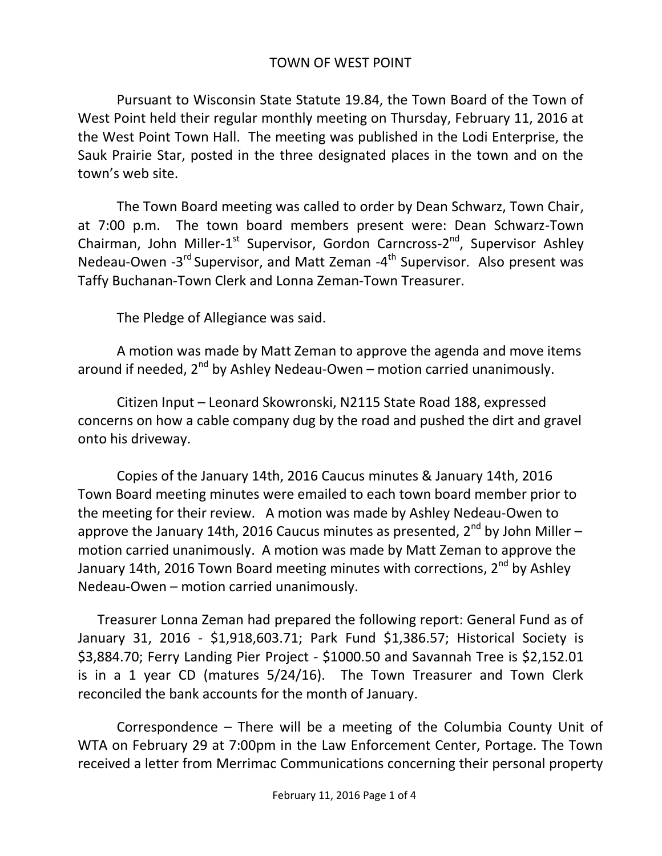## TOWN OF WEST POINT

Pursuant to Wisconsin State Statute 19.84, the Town Board of the Town of West Point held their regular monthly meeting on Thursday, February 11, 2016 at the West Point Town Hall. The meeting was published in the Lodi Enterprise, the Sauk Prairie Star, posted in the three designated places in the town and on the town's web site.

The Town Board meeting was called to order by Dean Schwarz, Town Chair, at 7:00 p.m. The town board members present were: Dean Schwarz-Town Chairman, John Miller-1<sup>st</sup> Supervisor, Gordon Carncross-2<sup>nd</sup>, Supervisor Ashley Nedeau-Owen -3<sup>rd</sup> Supervisor, and Matt Zeman -4<sup>th</sup> Supervisor. Also present was Taffy Buchanan-Town Clerk and Lonna Zeman-Town Treasurer.

The Pledge of Allegiance was said.

A motion was made by Matt Zeman to approve the agenda and move items around if needed,  $2^{nd}$  by Ashley Nedeau-Owen – motion carried unanimously.

Citizen Input – Leonard Skowronski, N2115 State Road 188, expressed concerns on how a cable company dug by the road and pushed the dirt and gravel onto his driveway.

Copies of the January 14th, 2016 Caucus minutes & January 14th, 2016 Town Board meeting minutes were emailed to each town board member prior to the meeting for their review. A motion was made by Ashley Nedeau-Owen to approve the January 14th, 2016 Caucus minutes as presented,  $2^{nd}$  by John Miller – motion carried unanimously. A motion was made by Matt Zeman to approve the January 14th, 2016 Town Board meeting minutes with corrections, 2<sup>nd</sup> by Ashley Nedeau-Owen – motion carried unanimously.

Treasurer Lonna Zeman had prepared the following report: General Fund as of January 31, 2016 - \$1,918,603.71; Park Fund \$1,386.57; Historical Society is \$3,884.70; Ferry Landing Pier Project - \$1000.50 and Savannah Tree is \$2,152.01 is in a 1 year CD (matures 5/24/16). The Town Treasurer and Town Clerk reconciled the bank accounts for the month of January.

Correspondence – There will be a meeting of the Columbia County Unit of WTA on February 29 at 7:00pm in the Law Enforcement Center, Portage. The Town received a letter from Merrimac Communications concerning their personal property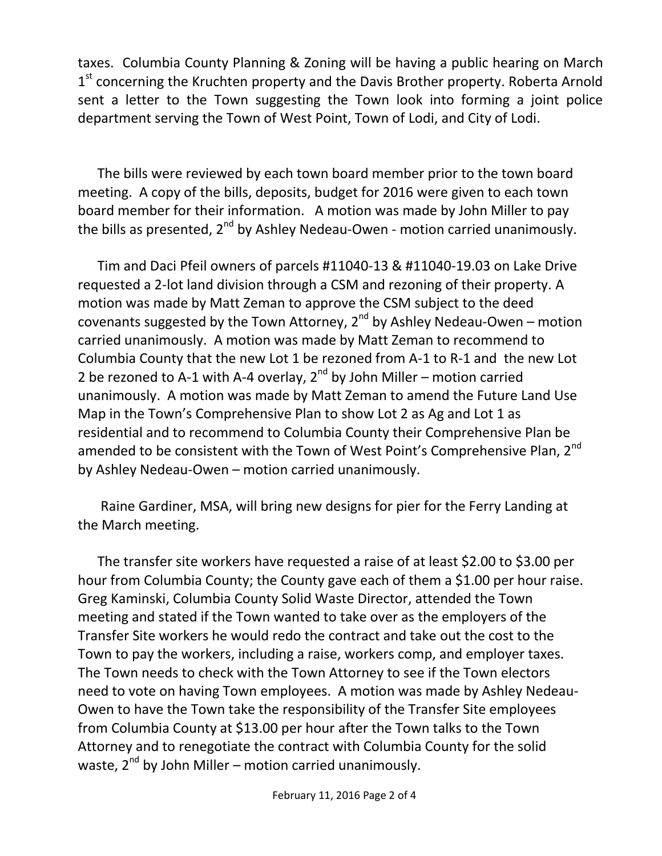taxes. Columbia County Planning & Zoning will be having a public hearing on March 1<sup>st</sup> concerning the Kruchten property and the Davis Brother property. Roberta Arnold sent a letter to the Town suggesting the Town look into forming a joint police department serving the Town of West Point, Town of Lodi, and City of Lodi.

The bills were reviewed by each town board member prior to the town board meeting. A copy of the bills, deposits, budget for 2016 were given to each town board member for their information. A motion was made by John Miller to pay the bills as presented,  $2^{nd}$  by Ashley Nedeau-Owen - motion carried unanimously.

Tim and Daci Pfeil owners of parcels #11040-13 & #11040-19.03 on Lake Drive requested a 2-lot land division through a CSM and rezoning of their property. A motion was made by Matt Zeman to approve the CSM subject to the deed covenants suggested by the Town Attorney,  $2^{nd}$  by Ashley Nedeau-Owen – motion carried unanimously. A motion was made by Matt Zeman to recommend to Columbia County that the new Lot 1 be rezoned from A-1 to R-1 and the new Lot 2 be rezoned to A-1 with A-4 overlay,  $2^{nd}$  by John Miller – motion carried unanimously. A motion was made by Matt Zeman to amend the Future Land Use Map in the Town's Comprehensive Plan to show Lot 2 as Ag and Lot 1 as residential and to recommend to Columbia County their Comprehensive Plan be amended to be consistent with the Town of West Point's Comprehensive Plan, 2<sup>nd</sup> by Ashley Nedeau-Owen – motion carried unanimously.

Raine Gardiner, MSA, will bring new designs for pier for the Ferry Landing at the March meeting.

The transfer site workers have requested a raise of at least \$2.00 to \$3.00 per hour from Columbia County; the County gave each of them a \$1.00 per hour raise. Greg Kaminski, Columbia County Solid Waste Director, attended the Town meeting and stated if the Town wanted to take over as the employers of the Transfer Site workers he would redo the contract and take out the cost to the Town to pay the workers, including a raise, workers comp, and employer taxes. The Town needs to check with the Town Attorney to see if the Town electors need to vote on having Town employees. A motion was made by Ashley Nedeau-Owen to have the Town take the responsibility of the Transfer Site employees from Columbia County at \$13.00 per hour after the Town talks to the Town Attorney and to renegotiate the contract with Columbia County for the solid waste,  $2^{nd}$  by John Miller – motion carried unanimously.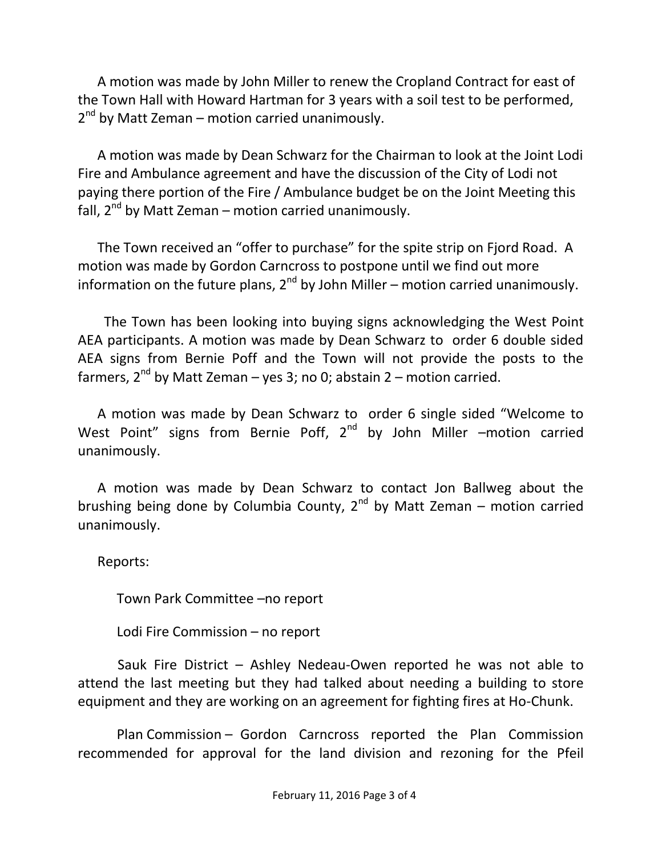A motion was made by John Miller to renew the Cropland Contract for east of the Town Hall with Howard Hartman for 3 years with a soil test to be performed, 2<sup>nd</sup> by Matt Zeman – motion carried unanimously.

A motion was made by Dean Schwarz for the Chairman to look at the Joint Lodi Fire and Ambulance agreement and have the discussion of the City of Lodi not paying there portion of the Fire / Ambulance budget be on the Joint Meeting this fall,  $2^{nd}$  by Matt Zeman – motion carried unanimously.

The Town received an "offer to purchase" for the spite strip on Fjord Road. A motion was made by Gordon Carncross to postpone until we find out more information on the future plans,  $2^{nd}$  by John Miller – motion carried unanimously.

 The Town has been looking into buying signs acknowledging the West Point AEA participants. A motion was made by Dean Schwarz to order 6 double sided AEA signs from Bernie Poff and the Town will not provide the posts to the farmers,  $2^{nd}$  by Matt Zeman – yes 3; no 0; abstain 2 – motion carried.

A motion was made by Dean Schwarz to order 6 single sided "Welcome to West Point" signs from Bernie Poff,  $2^{nd}$  by John Miller –motion carried unanimously.

A motion was made by Dean Schwarz to contact Jon Ballweg about the brushing being done by Columbia County,  $2^{nd}$  by Matt Zeman – motion carried unanimously.

Reports:

Town Park Committee –no report

Lodi Fire Commission – no report

 Sauk Fire District – Ashley Nedeau-Owen reported he was not able to attend the last meeting but they had talked about needing a building to store equipment and they are working on an agreement for fighting fires at Ho-Chunk.

Plan Commission – Gordon Carncross reported the Plan Commission recommended for approval for the land division and rezoning for the Pfeil